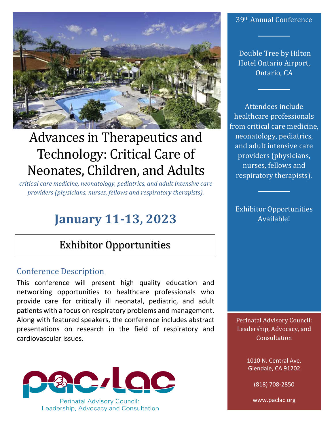

# Advances in Therapeutics and Technology: Critical Care of Neonates, Children, and Adults

*critical care medicine, neonatology, pediatrics, and adult intensive care providers (physicians, nurses, fellows and respiratory therapists).*

# **January 11-13, 2023**

## Exhibitor Opportunities

### Conference Description

This conference will present high quality education and networking opportunities to healthcare professionals who provide care for critically ill neonatal, pediatric, and adult patients with a focus on respiratory problems and management. Along with featured speakers, the conference includes abstract presentations on research in the field of respiratory and cardiovascular issues.



#### 39th Annual Conference

Double Tree by Hilton Hotel Ontario Airport, Ontario, CA

Attendees include healthcare professionals from critical care medicine, neonatology, pediatrics, and adult intensive care providers (physicians, nurses, fellows and respiratory therapists).

Exhibitor Opportunities Available!

Perinatal Advisory Council: Leadership, Advocacy, and **Consultation** 

> 1010 N. Central Ave. Glendale, CA 91202

> > (818) 708-2850

www.paclac.org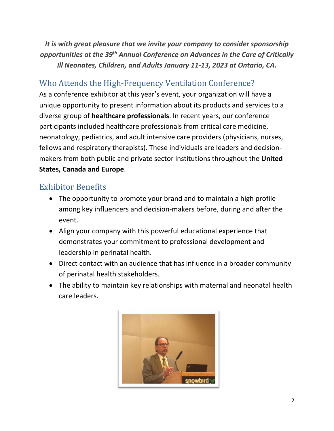*It is with great pleasure that we invite your company to consider sponsorship opportunities at the 39th Annual Conference on Advances in the Care of Critically Ill Neonates, Children, and Adults January 11-13, 2023 at Ontario, CA.* 

## Who Attends the High-Frequency Ventilation Conference?

As a conference exhibitor at this year's event, your organization will have a unique opportunity to present information about its products and services to a diverse group of **healthcare professionals**. In recent years, our conference participants included healthcare professionals from critical care medicine, neonatology, pediatrics, and adult intensive care providers (physicians, nurses, fellows and respiratory therapists). These individuals are leaders and decisionmakers from both public and private sector institutions throughout the **United States, Canada and Europe**.

### Exhibitor Benefits

- The opportunity to promote your brand and to maintain a high profile among key influencers and decision-makers before, during and after the event.
- Align your company with this powerful educational experience that demonstrates your commitment to professional development and leadership in perinatal health.
- Direct contact with an audience that has influence in a broader community of perinatal health stakeholders.
- The ability to maintain key relationships with maternal and neonatal health care leaders.